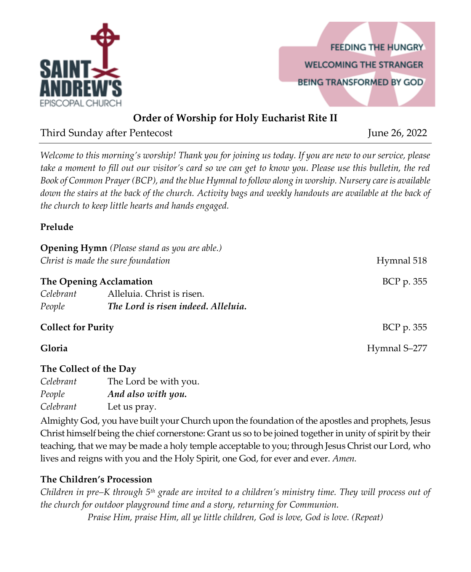

## **Order of Worship for Holy Eucharist Rite II**

Third Sunday after Pentecost June 26, 2022

*Welcome to this morning's worship! Thank you for joining us today. If you are new to our service, please take a moment to fill out our visitor's card so we can get to know you. Please use this bulletin, the red Book of Common Prayer (BCP), and the blue Hymnal to follow along in worship. Nursery care is available down the stairs at the back of the church. Activity bags and weekly handouts are available at the back of the church to keep little hearts and hands engaged.*

#### **Prelude**

|                                    | <b>Opening Hymn</b> (Please stand as you are able.) |              |
|------------------------------------|-----------------------------------------------------|--------------|
| Christ is made the sure foundation |                                                     | Hymnal 518   |
| The Opening Acclamation            |                                                     | BCP p. 355   |
| Celebrant                          | Alleluia. Christ is risen.                          |              |
| People                             | The Lord is risen indeed. Alleluia.                 |              |
| <b>Collect for Purity</b>          |                                                     | BCP p. 355   |
| Gloria                             |                                                     | Hymnal S-277 |

#### **The Collect of the Day**

*Celebrant* The Lord be with you. *People And also with you. Celebrant* Let us pray.

Almighty God, you have built your Church upon the foundation of the apostles and prophets, Jesus Christ himself being the chief cornerstone: Grant us so to be joined together in unity of spirit by their teaching, that we may be made a holy temple acceptable to you; through Jesus Christ our Lord, who lives and reigns with you and the Holy Spirit, one God, for ever and ever. *Amen.*

#### **The Children's Procession**

*Children in pre–K through 5th grade are invited to a children's ministry time. They will process out of the church for outdoor playground time and a story, returning for Communion. Praise Him, praise Him, all ye little children, God is love, God is love. (Repeat)*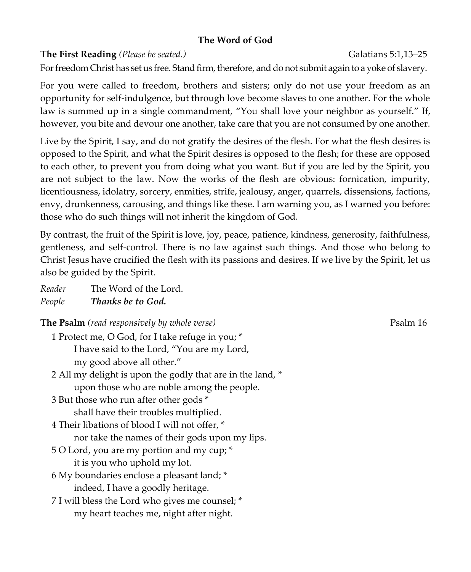#### **The Word of God**

#### **The First Reading** *(Please be seated.)* Galatians 5:1,13–25

For freedom Christ has set us free. Stand firm, therefore, and do not submit again to a yoke of slavery.

For you were called to freedom, brothers and sisters; only do not use your freedom as an opportunity for self-indulgence, but through love become slaves to one another. For the whole law is summed up in a single commandment, "You shall love your neighbor as yourself." If, however, you bite and devour one another, take care that you are not consumed by one another.

Live by the Spirit, I say, and do not gratify the desires of the flesh. For what the flesh desires is opposed to the Spirit, and what the Spirit desires is opposed to the flesh; for these are opposed to each other, to prevent you from doing what you want. But if you are led by the Spirit, you are not subject to the law. Now the works of the flesh are obvious: fornication, impurity, licentiousness, idolatry, sorcery, enmities, strife, jealousy, anger, quarrels, dissensions, factions, envy, drunkenness, carousing, and things like these. I am warning you, as I warned you before: those who do such things will not inherit the kingdom of God.

By contrast, the fruit of the Spirit is love, joy, peace, patience, kindness, generosity, faithfulness, gentleness, and self-control. There is no law against such things. And those who belong to Christ Jesus have crucified the flesh with its passions and desires. If we live by the Spirit, let us also be guided by the Spirit.

| Reader | The Word of the Lord. |
|--------|-----------------------|
| People | Thanks be to God.     |

**The Psalm** (read responsively by whole verse) **Psalm 16** Psalm 16

| 1 Protect me, O God, for I take refuge in you; * |
|--------------------------------------------------|
| I have said to the Lord, "You are my Lord,       |
| my good above all other."                        |

- 2 All my delight is upon the godly that are in the land, \* upon those who are noble among the people.
- 3 But those who run after other gods \* shall have their troubles multiplied.
- 4 Their libations of blood I will not offer, \*
	- nor take the names of their gods upon my lips.
- 5 O Lord, you are my portion and my cup; \* it is you who uphold my lot.
- 6 My boundaries enclose a pleasant land; \* indeed, I have a goodly heritage.
- 7 I will bless the Lord who gives me counsel; \* my heart teaches me, night after night.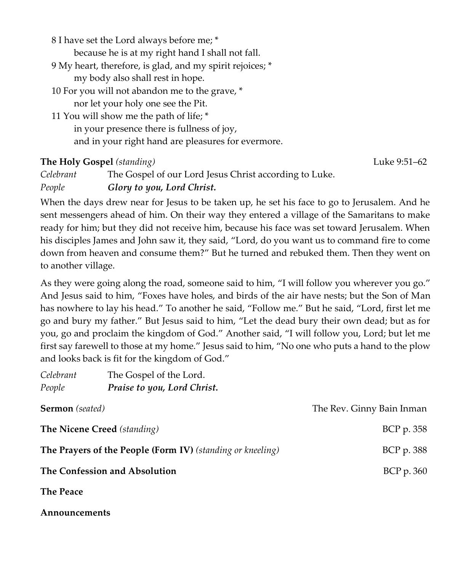8 I have set the Lord always before me; \* because he is at my right hand I shall not fall.

- 9 My heart, therefore, is glad, and my spirit rejoices; \* my body also shall rest in hope.
- 10 For you will not abandon me to the grave, \* nor let your holy one see the Pit.
- 11 You will show me the path of life; \* in your presence there is fullness of joy, and in your right hand are pleasures for evermore.

#### **The Holy Gospel** *(standing)* Luke 9:51–62

*Celebrant* The Gospel of our Lord Jesus Christ according to Luke.

#### *People Glory to you, Lord Christ.*

When the days drew near for Jesus to be taken up, he set his face to go to Jerusalem. And he sent messengers ahead of him. On their way they entered a village of the Samaritans to make ready for him; but they did not receive him, because his face was set toward Jerusalem. When his disciples James and John saw it, they said, "Lord, do you want us to command fire to come down from heaven and consume them?" But he turned and rebuked them. Then they went on to another village.

As they were going along the road, someone said to him, "I will follow you wherever you go." And Jesus said to him, "Foxes have holes, and birds of the air have nests; but the Son of Man has nowhere to lay his head." To another he said, "Follow me." But he said, "Lord, first let me go and bury my father." But Jesus said to him, "Let the dead bury their own dead; but as for you, go and proclaim the kingdom of God." Another said, "I will follow you, Lord; but let me first say farewell to those at my home." Jesus said to him, "No one who puts a hand to the plow and looks back is fit for the kingdom of God."

| Celebrant                                                  | The Gospel of the Lord.     |                           |
|------------------------------------------------------------|-----------------------------|---------------------------|
| People                                                     | Praise to you, Lord Christ. |                           |
| <b>Sermon</b> (seated)                                     |                             | The Rev. Ginny Bain Inman |
| <b>The Nicene Creed</b> (standing)                         |                             | BCP p. 358                |
| The Prayers of the People (Form IV) (standing or kneeling) |                             | BCP p. 388                |
| The Confession and Absolution                              |                             | BCP p. 360                |
| <b>The Peace</b>                                           |                             |                           |
| Announcements                                              |                             |                           |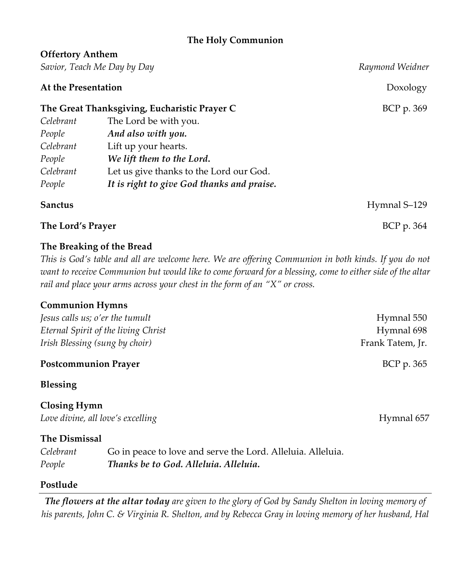#### **The Holy Communion**

| <b>Offertory Anthem</b>                                   |                                              |                 |
|-----------------------------------------------------------|----------------------------------------------|-----------------|
| Savior, Teach Me Day by Day<br><b>At the Presentation</b> |                                              | Raymond Weidner |
|                                                           |                                              | Doxology        |
|                                                           | The Great Thanksgiving, Eucharistic Prayer C | BCP p. 369      |
| Celebrant                                                 | The Lord be with you.                        |                 |
| People                                                    | And also with you.                           |                 |
| Celebrant                                                 | Lift up your hearts.                         |                 |
| People                                                    | We lift them to the Lord.                    |                 |
| Celebrant                                                 | Let us give thanks to the Lord our God.      |                 |
| People                                                    | It is right to give God thanks and praise.   |                 |
| <b>Sanctus</b>                                            |                                              | Hymnal S-129    |
| The Lord's Prayer                                         |                                              | BCP p. 364      |

#### **The Breaking of the Bread**

*This is God's table and all are welcome here. We are offering Communion in both kinds. If you do not want to receive Communion but would like to come forward for a blessing, come to either side of the altar rail and place your arms across your chest in the form of an "X" or cross.*

#### **Communion Hymns**

| Jesus calls us; o'er the tumult     |                                                             | Hymnal 550       |
|-------------------------------------|-------------------------------------------------------------|------------------|
| Eternal Spirit of the living Christ |                                                             | Hymnal 698       |
| Irish Blessing (sung by choir)      |                                                             | Frank Tatem, Jr. |
| <b>Postcommunion Prayer</b>         |                                                             | BCP p. 365       |
| Blessing                            |                                                             |                  |
| Closing Hymn                        |                                                             |                  |
| Love divine, all love's excelling   |                                                             | Hymnal 657       |
| <b>The Dismissal</b>                |                                                             |                  |
| Celebrant                           | Go in peace to love and serve the Lord. Alleluia. Alleluia. |                  |
| People                              | Thanks be to God. Alleluia. Alleluia.                       |                  |
| Postlude                            |                                                             |                  |

*The flowers at the altar today are given to the glory of God by Sandy Shelton in loving memory of his parents, John C. & Virginia R. Shelton, and by Rebecca Gray in loving memory of her husband, Hal*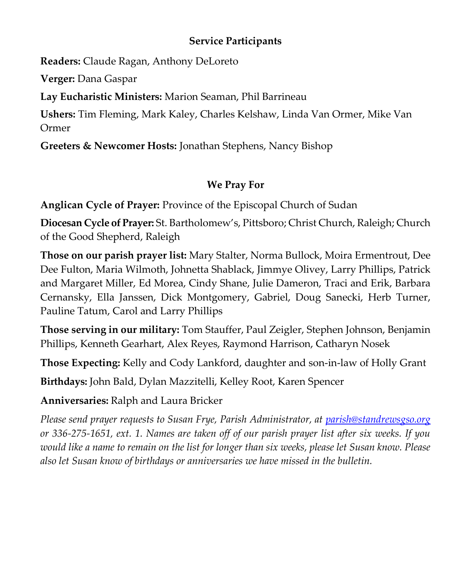## **Service Participants**

**Readers:** Claude Ragan, Anthony DeLoreto

**Verger:** Dana Gaspar

**Lay Eucharistic Ministers:** Marion Seaman, Phil Barrineau

**Ushers:** Tim Fleming, Mark Kaley, Charles Kelshaw, Linda Van Ormer, Mike Van Ormer

**Greeters & Newcomer Hosts:** Jonathan Stephens, Nancy Bishop

# **We Pray For**

**Anglican Cycle of Prayer:** Province of the Episcopal Church of Sudan

**Diocesan Cycle of Prayer:** St. Bartholomew's, Pittsboro; Christ Church, Raleigh; Church of the Good Shepherd, Raleigh

**Those on our parish prayer list:** Mary Stalter, Norma Bullock, Moira Ermentrout, Dee Dee Fulton, Maria Wilmoth, Johnetta Shablack, Jimmye Olivey, Larry Phillips, Patrick and Margaret Miller, Ed Morea, Cindy Shane, Julie Dameron, Traci and Erik, Barbara Cernansky, Ella Janssen, Dick Montgomery, Gabriel, Doug Sanecki, Herb Turner, Pauline Tatum, Carol and Larry Phillips

**Those serving in our military:** Tom Stauffer, Paul Zeigler, Stephen Johnson, Benjamin Phillips, Kenneth Gearhart, Alex Reyes, Raymond Harrison, Catharyn Nosek

**Those Expecting:** Kelly and Cody Lankford, daughter and son-in-law of Holly Grant

**Birthdays:** John Bald, Dylan Mazzitelli, Kelley Root, Karen Spencer

**Anniversaries:** Ralph and Laura Bricker

*Please send prayer requests to Susan Frye, Parish Administrator, at [parish@standrewsgso.org](mailto:parish@standrewsgso.org) or 336-275-1651, ext. 1. Names are taken off of our parish prayer list after six weeks. If you would like a name to remain on the list for longer than six weeks, please let Susan know. Please also let Susan know of birthdays or anniversaries we have missed in the bulletin.*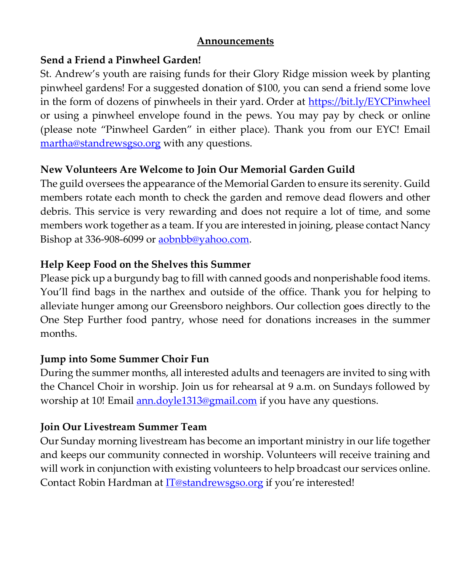#### **Announcements**

## **Send a Friend a Pinwheel Garden!**

St. Andrew's youth are raising funds for their Glory Ridge mission week by planting pinwheel gardens! For a suggested donation of \$100, you can send a friend some love in the form of dozens of pinwheels in their yard. Order at<https://bit.ly/EYCPinwheel> or using a pinwheel envelope found in the pews. You may pay by check or online (please note "Pinwheel Garden" in either place). Thank you from our EYC! Email [martha@standrewsgso.org](mailto:martha@standrewsgso.org) with any questions.

# **New Volunteers Are Welcome to Join Our Memorial Garden Guild**

The guild oversees the appearance of the Memorial Garden to ensure its serenity. Guild members rotate each month to check the garden and remove dead flowers and other debris. This service is very rewarding and does not require a lot of time, and some members work together as a team. If you are interested in joining, please contact Nancy Bishop at 336-908-6099 or [aobnbb@yahoo.com.](mailto:aobnbb@yahoo.com)

# **Help Keep Food on the Shelves this Summer**

Please pick up a burgundy bag to fill with canned goods and nonperishable food items. You'll find bags in the narthex and outside of the office. Thank you for helping to alleviate hunger among our Greensboro neighbors. Our collection goes directly to the One Step Further food pantry, whose need for donations increases in the summer months.

## **Jump into Some Summer Choir Fun**

During the summer months, all interested adults and teenagers are invited to sing with the Chancel Choir in worship. Join us for rehearsal at 9 a.m. on Sundays followed by worship at 10! Email [ann.doyle1313@gmail.com](mailto:ann.doyle1313@gmail.com) if you have any questions.

# **Join Our Livestream Summer Team**

Our Sunday morning livestream has become an important ministry in our life together and keeps our community connected in worship. Volunteers will receive training and will work in conjunction with existing volunteers to help broadcast our services online. Contact Robin Hardman at **IT@standrewsgso.org** if you're interested!